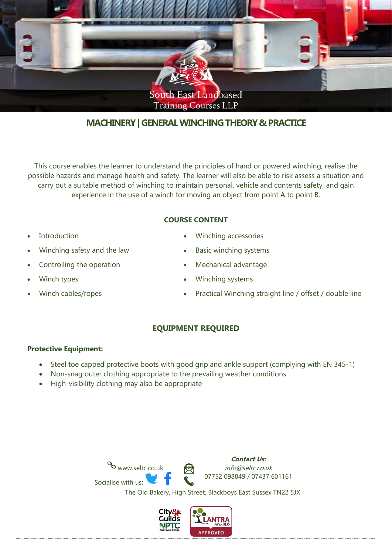

# **MACHINERY| GENERAL WINCHING THEORY & PRACTICE**

This course enables the learner to understand the principles of hand or powered winching, realise the possible hazards and manage health and safety. The learner will also be able to risk assess a situation and carry out a suitable method of winching to maintain personal, vehicle and contents safety, and gain experience in the use of a winch for moving an object from point A to point B.

## **COURSE CONTENT**

- **Introduction**
- Winching safety and the law
- Controlling the operation
- Winch types
- Winch cables/ropes
- Winching accessories
- Basic winching systems
- Mechanical advantage
- Winching systems
- Practical Winching straight line / offset / double line

## **EQUIPMENT REQUIRED**

#### **Protective Equipment:**

- Steel toe capped protective boots with good grip and ankle support (complying with EN 345-1)
- Non-snag outer clothing appropriate to the prevailing weather conditions
- High-visibility clothing may also be appropriate